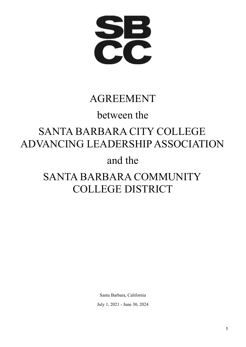**PPP** 

# AGREEMENT

# between the

# SANTA BARBARA CITY COLLEGE ADVANCING LEADERSHIP ASSOCIATION

# and the

# SANTA BARBARA COMMUNITY COLLEGE DISTRICT

Santa Barbara, California July 1, 2021 - June 30, 2024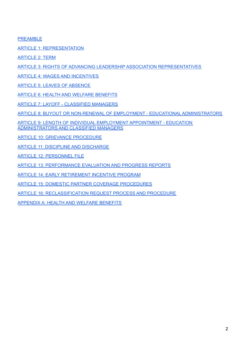[PREAMBLE](/h.va6a50o57icl)

ARTICLE 1: [REPRESENTATION](/h.6zzcndadjea8)

[ARTICLE](/h.xhcnpr61uwgn) 2: TERM

ARTICLE 3: RIGHTS OF ADVANCING LEADERSHIP ASSOCIATION [REPRESENTATIVES](/h.grmnkwqiw2ye)

ARTICLE 4: WAGES AND [INCENTIVES](/h.3mo8qekzcoqr)

ARTICLE 5: LEAVES OF [ABSENCE](/h.wtp0cod1sv2q)

ARTICLE 6: HEALTH AND WELFARE [BENEFITS](/h.wnl9nosnp67x)

ARTICLE 7: LAYOFF - [CLASSIFIED](/h.sdytvkteibjq) MANAGERS

ARTICLE 8: BUYOUT OR NON-RENEWAL OF EMPLOYMENT - EDUCATIONAL [ADMINISTRATORS](/h.wi2a3q35cpsm)

ARTICLE 9: LENGTH OF INDIVIDUAL EMPLOYMENT [APPOINTMENT](/h.8x4nha8uqclt) - EDUCATION [ADMINISTRATORS](/h.8x4nha8uqclt) AND CLASSIFIED MANAGERS

ARTICLE 10: GRIEVANCE [PROCEDURE](/h.gxl2bh71beek)

ARTICLE 11: DISCIPLINE AND [DISCHARGE](/h.yrsnxabf2f3q)

ARTICLE 12: [PERSONNEL](/h.xn46ys1lilmu) FILE

ARTICLE 13: [PERFORMANCE](/h.j7kj8ut1veuk) EVALUATION AND PROGRESS REPORTS

ARTICLE 14: EARLY [RETIREMENT](/h.l3rbehefh1p5) INCENTIVE PROGRAM

ARTICLE 15: DOMESTIC PARTNER COVERAGE [PROCEDURES](/h.n9m47xmk9d9r)

ARTICLE 16: [RECLASSIFICATION](/h.fpvzyfe1c4eh) REQUEST PROCESS AND PROCEDURE

[APPENDIX](/h.ewrrj2xtf5yn) A: HEALTH AND WELFARE BENEFITS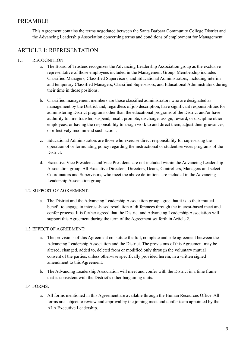# PREAMBLE

This Agreement contains the terms negotiated between the Santa Barbara Community College District and the Advancing Leadership Association concerning terms and conditions of employment for Management.

# ARTICLE 1: REPRESENTATION

# 1.1 RECOGNITION:

- a. The Board of Trustees recognizes the Advancing Leadership Association group as the exclusive representative of those employees included in the Management Group. Membership includes Classified Managers, Classified Supervisors, and Educational Administrators, including interim and temporary Classified Managers, Classified Supervisors, and Educational Administrators during their time in those positions.
- b. Classified management members are those classified administrators who are designated as management by the District and, regardless of job description, have significant responsibilities for administering District programs other than the educational programs of the District and/or have authority to hire, transfer, suspend, recall, promote, discharge, assign, reward, or discipline other employees, or having the responsibility to assign work to and direct them, adjust their grievances, or effectively recommend such action.
- c. Educational Administrators are those who exercise direct responsibility for supervising the operation of or formulating policy regarding the instructional or student services programs of the **District**
- d. Executive Vice Presidents and Vice Presidents are not included within the Advancing Leadership Association group. All Executive Directors, Directors, Deans, Controllers, Managers and select Coordinators and Supervisors, who meet the above definitions are included in the Advancing Leadership Association group.

# 1.2 SUPPORT OF AGREEMENT:

a. The District and the Advancing Leadership Association group agree that it is to their mutual benefit to engage in interest-based resolution of differences through the interest-based meet and confer process. It is further agreed that the District and Advancing Leadership Association will support this Agreement during the term of the Agreement set forth in Article 2.

# 1.3 EFFECT OF AGREEMENT:

- a. The provisions of this Agreement constitute the full, complete and sole agreement between the Advancing Leadership Association and the District. The provisions of this Agreement may be altered, changed, added to, deleted from or modified only through the voluntary mutual consent of the parties, unless otherwise specifically provided herein, in a written signed amendment to this Agreement.
- b. The Advancing Leadership Association will meet and confer with the District in a time frame that is consistent with the District's other bargaining units.

# 1.4 FORMS:

a. All forms mentioned in this Agreement are available through the Human Resources Office. All forms are subject to review and approval by the joining meet and confer team appointed by the ALA Executive Leadership.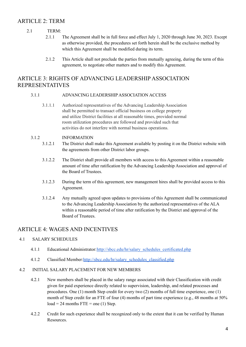# ARTICLE 2: TERM

# 2.1 TERM:

- 2.1.1 The Agreement shall be in full force and effect July 1, 2020 through June 30, 2023. Except as otherwise provided, the procedures set forth herein shall be the exclusive method by which this Agreement shall be modified during its term.
- 2.1.2 This Article shall not preclude the parties from mutually agreeing, during the term of this agreement, to negotiate other matters and to modify this Agreement.

# ARTICLE 3: RIGHTS OF ADVANCING LEADERSHIP ASSOCIATION REPRESENTATIVES

# 3.1.1 ADVANCING LEADERSHIP ASSOCIATION ACCESS

3.1.1.1 Authorized representatives of the Advancing Leadership Association shall be permitted to transact official business on college property and utilize District facilities at all reasonable times, provided normal room utilization procedures are followed and provided such that activities do not interfere with normal business operations.

# 3.1.2 INFORMATION

- 3.1.2.1 The District shall make this Agreement available by posting it on the District website with the agreements from other District labor groups.
- 3.1.2.2 The District shall provide all members with access to this Agreement within a reasonable amount of time after ratification by the Advancing Leadership Association and approval of the Board of Trustees.
- 3.1.2.3 During the term of this agreement, new management hires shall be provided access to this Agreement.
- 3.1.2.4 Any mutually agreed upon updates to provisions of this Agreement shall be communicated to the Advancing Leadership Association by the authorized representatives of the ALA within a reasonable period of time after ratification by the District and approval of the Board of Trustees.

# ARTICLE 4: WAGES AND INCENTIVES

# 4.1 SALARY SCHEDULES

- 4.1.1 Educational Administrator:[http://sbcc.edu/hr/salary\\_schedules\\_certificated.php](http://sbcc.edu/hr/salary_schedules_certificated.php)
- 4.1.2 Classified Member:[http://sbcc.edu/hr/salary\\_schedules\\_classified.php](http://sbcc.edu/hr/salary_schedules_classified.php)

# 4.2 INITIAL SALARY PLACEMENT FOR NEW MEMBERS

- 4.2.1 New members shall be placed in the salary range associated with their Classification with credit given for paid experience directly related to supervision, leadership, and related processes and procedures. One (1) month Step credit for every two (2) months of full time experience, one (1) month of Step credit for an FTE of four (4) months of part time experience (e.g., 48 months at 50%  $load = 24$  months  $FTE = one (1) Step.$
- 4.2.2 Credit for such experience shall be recognized only to the extent that it can be verified by Human Resources.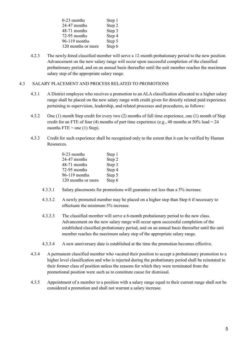| $0-23$ months      | Step 1 |
|--------------------|--------|
| 24-47 months       | Step 2 |
| 48-71 months       | Step 3 |
| 72-95 months       | Step 4 |
| 96-119 months      | Step 5 |
| 120 months or more | Step 6 |

4.2.3 The newly-hired classified member will serve a 12-month probationary period to the new position. Advancement on the new salary range will occur upon successful completion of the classified probationary period, and on an annual basis thereafter until the unit member reaches the maximum salary step of the appropriate salary range.

# 4.3 SALARY PLACEMENT AND PROCESS RELATED TO PROMOTIONS

- 4.3.1 A District employee who receives a promotion to an ALA classification allocated to a higher salary range shall be placed on the new salary range with credit given for directly related paid experience pertaining to supervision, leadership, and related processes and procedures, as follows:
- 4.3.2 One (1) month Step credit for every two (2) months of full time experience, one (1) month of Step credit for an FTE of four (4) months of part time experience (e.g., 48 months at 50% load = 24 months  $FTE =$  one (1) Step).
- 4.3.3 Credit for such experience shall be recognized only to the extent that it can be verified by Human Resources.

| $0-23$ months      | Step 1 |
|--------------------|--------|
| 24-47 months       | Step 2 |
| 48-71 months       | Step 3 |
| 72-95 months       | Step 4 |
| 96-119 months      | Step 5 |
| 120 months or more | Step 6 |

- 4.3.3.1 Salary placements for promotions will guarantee not less than a 5% increase.
- 4.3.3.2 A newly promoted member may be placed on a higher step than Step 6 if necessary to effectuate the minimum 5% increase.
- 4.3.3.3 The classified member will serve a 6-month probationary period to the new class. Advancement on the new salary range will occur upon successful completion of the established classified probationary period, and on an annual basis thereafter until the unit member reaches the maximum salary step of the appropriate salary range.
- 4.3.3.4 A new anniversary date is established at the time the promotion becomes effective.
- 4.3.4 A permanent classified member who vacated their position to accept a probationary promotion to a higher level classification and who is rejected during the probationary period shall be reinstated to their former class of position unless the reasons for which they were terminated from the promotional position were such as to constitute cause for dismissal.
- 4.3.5 Appointment of a member to a position with a salary range equal to their current range shall not be considered a promotion and shall not warrant a salary increase.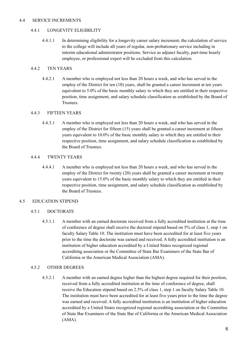# 4.4 SERVICE INCREMENTS

# 4.4.1 LONGEVITY ELIGIBILITY

4.4.1.1 In determining eligibility for a longevity career salary increment, the calculation of service to the college will include all years of regular, non-probationary service including in interim educational administrator positions. Service as adjunct faculty, part-time hourly employee, or professional expert will be excluded from this calculation.

# 4.4.2 TEN YEARS

4.4.2.1 A member who is employed not less than 20 hours a week, and who has served in the employ of the District for ten (10) years, shall be granted a career increment at ten years equivalent to 5.0% of the basic monthly salary to which they are entitled in their respective position, time assignment, and salary schedule classification as established by the Board of **Trustees** 

# 4.4.3 FIFTEEN YEARS

4.4.3.1 A member who is employed not less than 20 hours a week, and who has served in the employ of the District for fifteen (15) years shall be granted a career increment at fifteen years equivalent to 10.0% of the basic monthly salary to which they are entitled in their respective position, time assignment, and salary schedule classification as established by the Board of Trustees.

# 4.4.4 TWENTY YEARS

4.4.4.1 A member who is employed not less than 20 hours a week, and who has served in the employ of the District for twenty (20) years shall be granted a career increment at twenty years equivalent to 15.0% of the basic monthly salary to which they are entitled in their respective position, time assignment, and salary schedule classification as established by the Board of Trustees.

# 4.5 EDUCATION STIPEND

# 4.5.1 DOCTORATE

4.5.1.1 A member with an earned doctorate received from a fully accredited institution at the time of conference of degree shall receive the doctoral stipend based on 5% of class 1, step 1 on faculty Salary Table 10. The institution must have been accredited for at least five years prior to the time the doctorate was earned and received. A fully accredited institution is an institution of higher education accredited by a United States recognized regional accrediting association or the Committee of State Bar Examiners of the State Bar of California or the American Medical Association (AMA).

# 4.5.2 OTHER DEGREES

4.5.2.1 A member with an earned degree higher than the highest degree required for their position, received from a fully accredited institution at the time of conference of degree, shall receive the Education stipend based on 2.5% of class 1, step 1 on faculty Salary Table 10. The institution must have been accredited for at least five years prior to the time the degree was earned and received. A fully accredited institution is an institution of higher education accredited by a United States recognized regional accrediting association or the Committee of State Bar Examiners of the State Bar of California or the American Medical Association (AMA).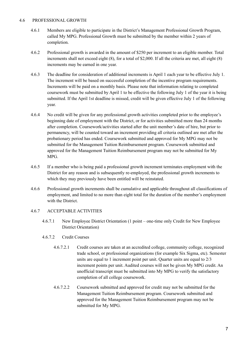# 4.6 PROFESSIONAL GROWTH

- 4.6.1 Members are eligible to participate in the District's Management Professional Growth Program, called My MPG. Professional Growth must be submitted by the member within 2 years of completion.
- 4.6.2 Professional growth is awarded in the amount of \$250 per increment to an eligible member. Total increments shall not exceed eight (8), for a total of \$2,000. If all the criteria are met, all eight (8) increments may be earned in one year.
- 4.6.3 The deadline for consideration of additional increments is April 1 each year to be effective July 1. The increment will be based on successful completion of the incentive program requirements. Increments will be paid on a monthly basis. Please note that information relating to completed coursework must be submitted by April 1 to be effective the following July 1 of the year it is being submitted. If the April 1st deadline is missed, credit will be given effective July 1 of the following year.
- 4.6.4 No credit will be given for any professional growth activities completed prior to the employee's beginning date of employment with the District, or for activities submitted more than 24 months after completion. Coursework/activities started after the unit member's date of hire, but prior to permanency, will be counted toward an increment providing all criteria outlined are met after the probationary period has ended. Coursework submitted and approved for My MPG may not be submitted for the Management Tuition Reimbursement program. Coursework submitted and approved for the Management Tuition Reimbursement program may not be submitted for My MPG.
- 4.6.5 If a member who is being paid a professional growth increment terminates employment with the District for any reason and is subsequently re-employed, the professional growth increments to which they may previously have been entitled will be reinstated.
- 4.6.6 Professional growth increments shall be cumulative and applicable throughout all classifications of employment, and limited to no more than eight total for the duration of the member's employment with the District.

# 4.6.7 ACCEPTABLE ACTIVITIES

- 4.6.7.1 New Employee District Orientation (1 point one-time only Credit for New Employee District Orientation)
- 4.6.7.2 Credit Courses
	- 4.6.7.2.1 Credit courses are taken at an accredited college, community college, recognized trade school, or professional organizations (for example Six Sigma, etc). Semester units are equal to 1 increment point per unit. Quarter units are equal to 2/3 increment points per unit. Audited courses will not be given My MPG credit. An unofficial transcript must be submitted into My MPG to verify the satisfactory completion of all college coursework.
	- 4.6.7.2.2 Coursework submitted and approved for credit may not be submitted for the Management Tuition Reimbursement program. Coursework submitted and approved for the Management Tuition Reimbursement program may not be submitted for My MPG.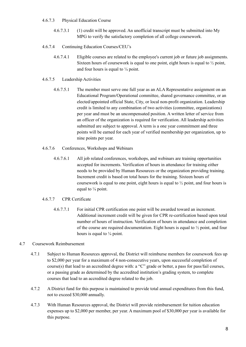# 4.6.7.3 Physical Education Course

- 4.6.7.3.1 (1) credit will be approved. An unofficial transcript must be submitted into My MPG to verify the satisfactory completion of all college coursework.
- 4.6.7.4 Continuing Education Courses/CEU's
	- 4.6.7.4.1 Eligible courses are related to the employee's current job or future job assignments. Sixteen hours of coursework is equal to one point, eight hours is equal to ½ point, and four hours is equal to  $\frac{1}{4}$  point.

# 4.6.7.5 Leadership Activities

- 4.6.7.5.1 The member must serve one full year as an ALA Representative assignment on an Educational Program/Operational committee, shared governance committee, or an elected/appointed official State, City, or local non-profit organization. Leadership credit is limited to any combination of two activities (committee, organizations) per year and must be an uncompensated position. A written letter of service from an officer of the organization is required for verification. All leadership activities submitted are subject to approval. A term is a one year commitment and three points will be earned for each year of verified membership per organization, up to nine points per year.
- 4.6.7.6 Conferences, Workshops and Webinars
	- 4.6.7.6.1 All job related conferences, workshops, and webinars are training opportunities accepted for increments. Verification of hours in attendance for training either needs to be provided by Human Resources or the organization providing training. Increment credit is based on total hours for the training. Sixteen hours of coursework is equal to one point, eight hours is equal to ½ point, and four hours is equal to  $\frac{1}{4}$  point.

# 4.6.7.7 CPR Certificate

4.6.7.7.1 For initial CPR certification one point will be awarded toward an increment. Additional increment credit will be given for CPR re-certification based upon total number of hours of instruction. Verification of hours in attendance and completion of the course are required documentation. Eight hours is equal to ½ point, and four hours is equal to  $\frac{1}{4}$  point.

# 4.7 Coursework Reimbursement

- 4.7.1 Subject to Human Resources approval, the District will reimburse members for coursework fees up to \$2,000 per year for a maximum of 4 non-consecutive years, upon successful completion of course(s) that lead to an accredited degree with: a "C" grade or better, a pass for pass/fail courses, or a passing grade as determined by the accredited institution's grading system, to complete courses that lead to an accredited degree related to the job.
- 4.7.2 A District fund for this purpose is maintained to provide total annual expenditures from this fund, not to exceed \$30,000 annually.
- 4.7.3 With Human Resources approval, the District will provide reimbursement for tuition education expenses up to \$2,000 per member, per year. A maximum pool of \$30,000 per year is available for this purpose.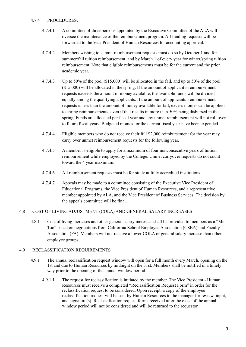# 4.7.4 PROCEDURES:

- 4.7.4.1 A committee of three persons appointed by the Executive Committee of the ALA will oversee the maintenance of the reimbursement program. All funding requests will be forwarded to the Vice President of Human Resources for accounting approval.
- 4.7.4.2 Members wishing to submit reimbursement requests must do so by October 1 and for summer/fall tuition reimbursement, and by March 1 of every year for winter/spring tuition reimbursement. Note that eligible reimbursements must be for the current and the prior academic year.
- 4.7.4.3 Up to 50% of the pool (\$15,000) will be allocated in the fall, and up to 50% of the pool (\$15,000) will be allocated in the spring. If the amount of applicant's reimbursement requests exceeds the amount of money available, the available funds will be divided equally among the qualifying applicants. If the amount of applicants' reimbursement requests is less than the amount of money available for fall, excess monies can be applied to spring reimbursements, even if that results in more than 50% being disbursed in the spring. Funds are allocated per fiscal year and any unmet reimbursement will not roll over to future fiscal years. Budgeted monies for the current fiscal year have been expended.
- 4.7.4.4 Eligible members who do not receive their full \$2,000 reimbursement for the year may carry over unmet reimbursement requests for the following year.
- 4.7.4.5 A member is eligible to apply for a maximum of four nonconsecutive years of tuition reimbursement while employed by the College. Unmet carryover requests do not count toward the 4 year maximum.
- 4.7.4.6 All reimbursement requests must be for study at fully accredited institutions.
- 4.7.4.7 Appeals may be made to a committee consisting of the Executive Vice President of Educational Programs, the Vice President of Human Resources, and a representative member appointed by ALA, and the Vice President of Business Services. The decision by the appeals committee will be final.

# 4.8 COST OF LIVING ADJUSTMENT (COLA) AND GENERAL SALARY INCREASES

4.8.1 Cost of living increases and other general salary increases shall be provided to members as a "Me Too" based on negotiations from California School Employee Association (CSEA) and Faculty Association (FA). Members will not receive a lower COLA or general salary increase than other employee groups.

# 4.9 RECLASSIFICATION REQUIREMENTS

- 4.9.1 The annual reclassification request window will open for a full month every March, opening on the 1st and due to Human Resources by midnight on the 31st. Members shall be notified in a timely way prior to the opening of the annual window period.
	- 4.9.1.1 The request for reclassification is initiated by the member. The Vice President Human Resources must receive a completed "Reclassification Request Form" in order for the reclassification request to be considered. Upon receipt, a copy of the employee reclassification request will be sent by Human Resources to the manager for review, input, and signature(s). Reclassification request forms received after the close of the annual window period will not be considered and will be returned to the requestor.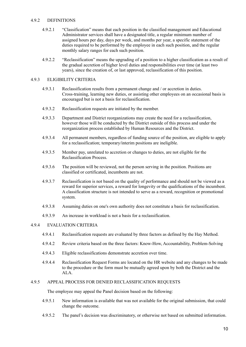#### 4.9.2 DEFINITIONS

- 4.9.2.1 "Classification" means that each position in the classified management and Educational Administrator services shall have a designated title, a regular minimum number of assigned hours per day, days per week, and months per year, a specific statement of the duties required to be performed by the employee in each such position, and the regular monthly salary ranges for each such position.
- 4.9.2.2 "Reclassification" means the upgrading of a position to a higher classification as a result of the gradual accretion of higher level duties and responsibilities over time (at least two years), since the creation of, or last approved, reclassification of this position.

#### 4.9.3 ELIGIBILITY CRITERIA

- 4.9.3.1 Reclassification results from a permanent change and / or accretion in duties. Cross-training, learning new duties, or assisting other employees on an occasional basis is encouraged but is not a basis for reclassification.
- 4.9.3.2 Reclassification requests are initiated by the member.
- 4.9.3.3 Department and District reorganizations may create the need for a reclassification, however those will be conducted by the District outside of this process and under the reorganization process established by Human Resources and the District.
- 4.9.3.4 All permanent members, regardless of funding source of the position, are eligible to apply for a reclassification; temporary/interim positions are ineligible.
- 4.9.3.5 Member pay, unrelated to accretion or changes to duties, are not eligible for the Reclassification Process.
- 4.9.3.6 The position will be reviewed, not the person serving in the position. Positions are classified or certificated, incumbents are not.
- 4.9.3.7 Reclassification is not based on the quality of performance and should not be viewed as a reward for superior services, a reward for longevity or the qualifications of the incumbent. A classification structure is not intended to serve as a reward, recognition or promotional system.
- 4.9.3.8 Assuming duties on one's own authority does not constitute a basis for reclassification.
- 4.9.3.9 An increase in workload is not a basis for a reclassification.

# 4.9.4 EVALUATION CRITERIA

- 4.9.4.1 Reclassification requests are evaluated by three factors as defined by the Hay Method.
- 4.9.4.2 Review criteria based on the three factors: Know-How, Accountability, Problem-Solving
- 4.9.4.3 Eligible reclassifications demonstrate accretion over time.
- 4.9.4.4 Reclassification Request Forms are located on the HR website and any changes to be made to the procedure or the form must be mutually agreed upon by both the District and the ALA.

#### 4.9.5 APPEAL PROCESS FOR DENIED RECLASSIFICATION REQUESTS

The employee may appeal the Panel decision based on the following:

- 4.9.5.1 New information is available that was not available for the original submission, that could change the outcome.
- 4.9.5.2 The panel's decision was discriminatory, or otherwise not based on submitted information.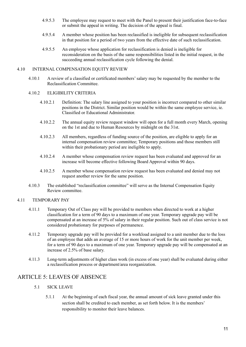- 4.9.5.3 The employee may request to meet with the Panel to present their justification face-to-face or submit the appeal in writing. The decision of the appeal is final.
- 4.9.5.4 A member whose position has been reclassified is ineligible for subsequent reclassification in that position for a period of two years from the effective date of such reclassification.
- 4.9.5.5 An employee whose application for reclassification is denied is ineligible for reconsideration on the basis of the same responsibilities listed in the initial request, in the succeeding annual reclassification cycle following the denial.

#### 4.10 INTERNAL COMPENSATION EQUITY REVIEW

4.10.1 A review of a classified or certificated members'salary may be requested by the member to the Reclassification Committee.

#### 4.10.2 ELIGIBILITY CRITERIA

- 4.10.2.1 Definition: The salary line assigned to your position is incorrect compared to other similar positions in the District. Similar position would be within the same employee service, ie. Classified or Educational Administrator.
- 4.10.2.2 The annual equity review request window will open for a full month every March, opening on the 1st and due to Human Resources by midnight on the 31st.
- 4.10.2.3 All members, regardless of funding source of the position, are eligible to apply for an internal compensation review committee; Temporary positions and those members still within their probationary period are ineligible to apply.
- 4.10.2.4 A member whose compensation review request has been evaluated and approved for an increase will become effective following Board Approval within 90 days.
- 4.10.2.5 A member whose compensation review request has been evaluated and denied may not request another review for the same position.
- 4.10.3 The established "reclassification committee" will serve as the Internal Compensation Equity Review committee.

# 4.11 TEMPORARY PAY

- 4.11.1 Temporary Out of Class pay will be provided to members when directed to work at a higher classification for a term of 90 days to a maximum of one year. Temporary upgrade pay will be compensated at an increase of 5% of salary in their regular position. Such out of class service is not considered probationary for purposes of permanence.
- 4.11.2 Temporary upgrade pay will be provided for a workload assigned to a unit member due to the loss of an employee that adds an average of 15 or more hours of work for the unit member per week, for a term of 90 days to a maximum of one year. Temporary upgrade pay will be compensated at an increase of 2.5% of base salary.
- 4.11.3 Long-term adjustments of higher class work (in excess of one year) shall be evaluated during either a reclassification process or department/area reorganization.

# ARTICLE 5: LEAVES OF ABSENCE

- 5.1 SICK LEAVE
	- 5.1.1 At the beginning of each fiscal year, the annual amount of sick leave granted under this section shall be credited to each member, as set forth below. It is the members' responsibility to monitor their leave balances.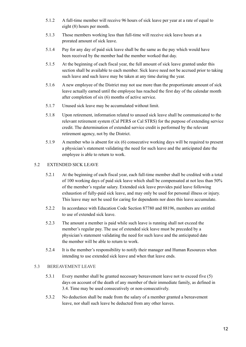- 5.1.2 A full-time member will receive 96 hours of sick leave per year at a rate of equal to eight (8) hours per month.
- 5.1.3 Those members working less than full-time will receive sick leave hours at a prorated amount of sick leave.
- 5.1.4 Pay for any day of paid sick leave shall be the same as the pay which would have been received by the member had the member worked that day.
- 5.1.5 At the beginning of each fiscal year, the full amount of sick leave granted under this section shall be available to each member. Sick leave need not be accrued prior to taking such leave and such leave may be taken at any time during the year.
- 5.1.6 A new employee of the District may not use more than the proportionate amount of sick leave actually earned until the employee has reached the first day of the calendar month after completion of six (6) months of active service.
- 5.1.7 Unused sick leave may be accumulated without limit.
- 5.1.8 Upon retirement, information related to unused sick leave shall be communicated to the relevant retirement system (Cal PERS or Cal STRS) for the purpose of extending service credit. The determination of extended service credit is performed by the relevant retirement agency, not by the District.
- 5.1.9 A member who is absent for six (6) consecutive working days will be required to present a physician's statement validating the need for such leave and the anticipated date the employee is able to return to work.

# 5.2 EXTENDED SICK LEAVE

- 5.2.1 At the beginning of each fiscal year, each full-time member shall be credited with a total of 100 working days of paid sick leave which shall be compensated at not less than 50% of the member's regular salary. Extended sick leave provides paid leave following exhaustion of fully-paid sick leave, and may only be used for personal illness or injury. This leave may not be used for caring for dependents nor does this leave accumulate.
- 5.2.2 In accordance with Education Code Section 87780 and 88196, members are entitled to use of extended sick leave.
- 5.2.3 The amount a member is paid while such leave is running shall not exceed the member's regular pay. The use of extended sick leave must be preceded by a physician's statement validating the need for such leave and the anticipated date the member will be able to return to work.
- 5.2.4 It is the member's responsibility to notify their manager and Human Resources when intending to use extended sick leave and when that leave ends.

# 5.3 BEREAVEMENT LEAVE

- 5.3.1 Every member shall be granted necessary bereavement leave not to exceed five (5) days on account of the death of any member of their immediate family, as defined in 3.4. Time may be used consecutively or non-consecutively.
- 5.3.2 No deduction shall be made from the salary of a member granted a bereavement leave, nor shall such leave be deducted from any other leaves.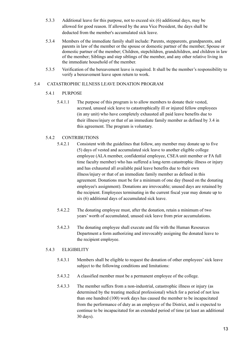- 5.3.3 Additional leave for this purpose, not to exceed six (6) additional days, may be allowed for good reason. If allowed by the area Vice President, the days shall be deducted from the member's accumulated sick leave.
- 5.3.4 Members of the immediate family shall include: Parents, stepparents, grandparents, and parents in law of the member or the spouse or domestic partner of the member; Spouse or domestic partner of the member; Children, stepchildren, grandchildren, and children in law of the member; Siblings and step siblings of the member, and any other relative living in the immediate household of the member.
- 5.3.5 Verification of the bereavement leave is required. It shall be the member's responsibility to verify a bereavement leave upon return to work.

# 5.4 CATASTROPHIC ILLNESS LEAVE DONATION PROGRAM

- 5.4.1 PURPOSE
	- 5.4.1.1 The purpose of this program is to allow members to donate their vested, accrued, unused sick leave to catastrophically ill or injured fellow employees (in any unit) who have completely exhausted all paid leave benefits due to their illness/injury or that of an immediate family member as defined by 3.4 in this agreement. The program is voluntary.

# 5.4.2 CONTRIBUTIONS

- 5.4.2.1 Consistent with the guidelines that follow, any member may donate up to five (5) days of vested and accumulated sick leave to another eligible college employee (ALA member, confidential employee, CSEA unit member or FA full time faculty member) who has suffered a long-term catastrophic illness or injury and has exhausted all available paid leave benefits due to their own illness/injury or that of an immediate family member as defined in this agreement. Donations must be for a minimum of one day (based on the donating employee's assignment). Donations are irrevocable; unused days are retained by the recipient. Employees terminating in the current fiscal year may donate up to six (6) additional days of accumulated sick leave.
- 5.4.2.2 The donating employee must, after the donation, retain a minimum of two years' worth of accumulated, unused sick leave from prior accumulations.
- 5.4.2.3 The donating employee shall execute and file with the Human Resources Department a form authorizing and irrevocably assigning the donated leave to the recipient employee.

# 5.4.3 ELIGIBILITY

- 5.4.3.1 Members shall be eligible to request the donation of other employees'sick leave subject to the following conditions and limitations:
- 5.4.3.2 A classified member must be a permanent employee of the college.
- 5.4.3.3 The member suffers from a non-industrial, catastrophic illness or injury (as determined by the treating medical professional) which for a period of not less than one hundred (100) work days has caused the member to be incapacitated from the performance of duty as an employee of the District, and is expected to continue to be incapacitated for an extended period of time (at least an additional 30 days).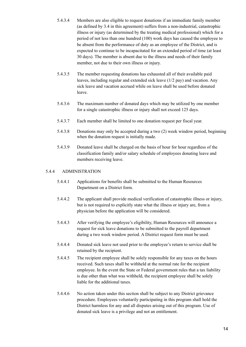- 5.4.3.4 Members are also eligible to request donations if an immediate family member (as defined by 3.4 in this agreement) suffers from a non-industrial, catastrophic illness or injury (as determined by the treating medical professional) which for a period of not less than one hundred (100) work days has caused the employee to be absent from the performance of duty as an employee of the District, and is expected to continue to be incapacitated for an extended period of time (at least 30 days). The member is absent due to the illness and needs of their family member, not due to their own illness or injury.
- 5.4.3.5 The member requesting donations has exhausted all of their available paid leaves, including regular and extended sick leave (1/2 pay) and vacation. Any sick leave and vacation accrued while on leave shall be used before donated leave.
- 5.4.3.6 The maximum number of donated days which may be utilized by one member for a single catastrophic illness or injury shall not exceed 125 days.
- 5.4.3.7 Each member shall be limited to one donation request per fiscal year.
- 5.4.3.8 Donations may only be accepted during a two (2) week window period, beginning when the donation request is initially made.
- 5.4.3.9 Donated leave shall be charged on the basis of hour for hour regardless of the classification family and/or salary schedule of employees donating leave and members receiving leave.

# 5.4.4 ADMINISTRATION

- 5.4.4.1 Applications for benefits shall be submitted to the Human Resources Department on a District form.
- 5.4.4.2 The applicant shall provide medical verification of catastrophic illness or injury, but is not required to explicitly state what the illness or injury are, from a physician before the application will be considered.
- 5.4.4.3 After verifying the employee's eligibility, Human Resources will announce a request for sick leave donations to be submitted to the payroll department during a two week window period. A District request form must be used.
- 5.4.4.4 Donated sick leave not used prior to the employee's return to service shall be retained by the recipient.
- 5.4.4.5 The recipient employee shall be solely responsible for any taxes on the hours received. Such taxes shall be withheld at the normal rate for the recipient employee. In the event the State or Federal government rules that a tax liability is due other than what was withheld, the recipient employee shall be solely liable for the additional taxes.
- 5.4.4.6 No action taken under this section shall be subject to any District grievance procedure. Employees voluntarily participating in this program shall hold the District harmless for any and all disputes arising out of this program. Use of donated sick leave is a privilege and not an entitlement.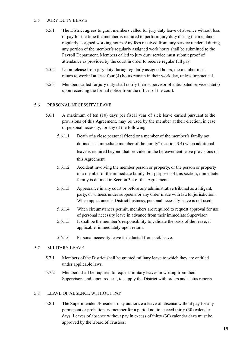# 5.5 JURY DUTY LEAVE

- 5.5.1 The District agrees to grant members called for jury duty leave of absence without loss of pay for the time the member is required to perform jury duty during the members regularly assigned working hours. Any fees received from jury service rendered during any portion of the member's regularly assigned work hours shall be submitted to the Payroll Department. Members called to jury duty service must submit proof of attendance as provided by the court in order to receive regular full pay.
- 5.5.2 Upon release from jury duty during regularly assigned hours, the member must return to work if at least four (4) hours remain in their work day, unless impractical.
- 5.5.3 Members called for jury duty shall notify their supervisor of anticipated service date(s) upon receiving the formal notice from the officer of the court.

#### 5.6 PERSONAL NECESSITY LEAVE

- 5.6.1 A maximum of ten (10) days per fiscal year of sick leave earned pursuant to the provisions of this Agreement, may be used by the member at their election, in case of personal necessity, for any of the following:
	- 5.6.1.1 Death of a close personal friend or a member of the member's family not defined as "immediate member of the family" (section 3.4) when additional leave is required beyond that provided in the bereavement leave provisions of this Agreement.
	- 5.6.1.2 Accident involving the member person or property, or the person or property of a member of the immediate family. For purposes of this section, immediate family is defined in Section 3.4 of this Agreement.
	- 5.6.1.3 Appearance in any court or before any administrative tribunal as a litigant, party, or witness under subpoena or any order made with lawful jurisdiction. When appearance is District business, personal necessity leave is not used.
	- 5.6.1.4 When circumstances permit, members are required to request approval for use of personal necessity leave in advance from their immediate Supervisor.
	- 5.6.1.5 It shall be the member's responsibility to validate the basis of the leave, if applicable, immediately upon return.
	- 5.6.1.6 Personal necessity leave is deducted from sick leave.

# 5.7 MILITARY LEAVE

- 5.7.1 Members of the District shall be granted military leave to which they are entitled under applicable laws.
- 5.7.2 Members shall be required to request military leaves in writing from their Supervisors and, upon request, to supply the District with orders and status reports.

#### 5.8 LEAVE OF ABSENCE WITHOUT PAY

5.8.1 The Superintendent/President may authorize a leave of absence without pay for any permanent or probationary member for a period not to exceed thirty (30) calendar days. Leaves of absence without pay in excess of thirty (30) calendar days must be approved by the Board of Trustees.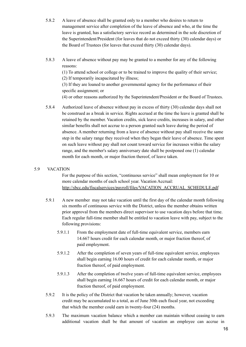- 5.8.2 A leave of absence shall be granted only to a member who desires to return to management service after completion of the leave of absence and who, at the time the leave is granted, has a satisfactory service record as determined in the sole discretion of the Superintendent/President (for leaves that do not exceed thirty (30) calendar days) or the Board of Trustees (for leaves that exceed thirty (30) calendar days).
- 5.8.3 A leave of absence without pay may be granted to a member for any of the following reasons:

(1) To attend school or college or to be trained to improve the quality of their service; (2) If temporarily incapacitated by illness;

(3) If they are loaned to another governmental agency for the performance of their specific assignment; or

(4) or other reasons authorized by the Superintendent/President or the Board of Trustees.

5.8.4 Authorized leave of absence without pay in excess of thirty (30) calendar days shall not be construed as a break in service. Rights accrued at the time the leave is granted shall be retained by the member. Vacation credits, sick leave credits, increases in salary, and other similar benefits shall not accrue to a person granted such leave during the period of absence. A member returning from a leave of absence without pay shall receive the same step in the salary range they received when they began their leave of absence. Time spent on such leave without pay shall not count toward service for increases within the salary range, and the member's salary anniversary date shall be postponed one (1) calendar month for each month, or major fraction thereof, of leave taken.

# 5.9 VACATION

For the purpose of this section, "continuous service" shall mean employment for 10 or more calendar months of each school year. Vacation Accrual: [http://sbcc.edu/fiscalservices/payroll/files/VACATION\\_ACCRUAL\\_SCHEDULE.pdf](http://sbcc.edu/fiscalservices/payroll/files/VACATION_ACCRUAL_SCHEDULE.pdf)

- 5.9.1 A new member may not take vacation until the first day of the calendar month following six months of continuous service with the District, unless the member obtains written prior approval from the members direct supervisor to use vacation days before that time. Each regular full-time member shall be entitled to vacation leave with pay, subject to the following provisions:
	- 5.9.1.1 From the employment date of full-time equivalent service, members earn 14.667 hours credit for each calendar month, or major fraction thereof, of paid employment.
	- 5.9.1.2 After the completion of seven years of full-time equivalent service, employees shall begin earning 16.00 hours of credit for each calendar month, or major fraction thereof, of paid employment.
	- 5.9.1.3 After the completion of twelve years of full-time equivalent service, employees shall begin earning 16.667 hours of credit for each calendar month, or major fraction thereof, of paid employment.
- 5.9.2 It is the policy of the District that vacation be taken annually; however, vacation credit may be accumulated to a total, as of June 30th each fiscal year, not exceeding that which the member could earn in twenty-four (24) months.
- 5.9.3 The maximum vacation balance which a member can maintain without ceasing to earn additional vacation shall be that amount of vacation an employee can accrue in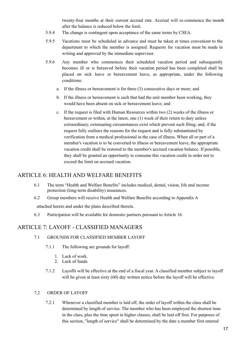twenty-four months at their current accrual rate. Accrual will re-commence the month after the balance is reduced below the limit.

- 5.9.4 The change is contingent upon acceptance of the same terms by CSEA.
- 5.9.5 Vacations must be scheduled in advance and must be taken at times convenient to the department to which the member is assigned. Requests for vacation must be made in writing and approved by the immediate supervisor.
- 5.9.6 Any member who commences their scheduled vacation period and subsequently becomes ill or is bereaved before their vacation period has been completed shall be placed on sick leave or bereavement leave, as appropriate, under the following conditions:
	- a. If the illness or bereavement is for three (3) consecutive days or more; and
	- b. If the illness or bereavement is such that had the unit member been working, they would have been absent on sick or bereavement leave; and
	- c. If the request is filed with Human Resources within two (2) weeks of the illness or bereavement or within, at the latest, one (1) week of their return to duty unless extraordinary, extenuating circumstances exist which prevent such filing; and, if the request fully outlines the reasons for the request and is fully substantiated by verification from a medical professional in the case of illness. When all or part of a member's vacation is to be converted to illness or bereavement leave, the appropriate vacation credit shall be restored to the member's accrued vacation balance. If possible, they shall be granted an opportunity to consume this vacation credit in order not to exceed the limit on accrued vacation.

# ARTICLE 6: HEALTH AND WELFARE BENEFITS

- 6.1 The term "Health and Welfare Benefits" includes medical, dental, vision, life and income protection (long-term disability) insurances.
- 6.2 Group members will receive Health and Welfare Benefits according to Appendix A

attached hereto and under the plans described therein.

6.3 Participation will be available for domestic partners pursuant to Article 16.

# ARTICLE 7: LAYOFF - CLASSIFIED MANAGERS

- 7.1 GROUNDS FOR CLASSIFIED MEMBER LAYOFF
	- 7.1.1 The following are grounds for layoff:
		- 1. Lack of work.
		- 2. Lack of funds.
	- 7.1.2 Layoffs will be effective at the end of a fiscal year. A classified member subject to layoff will be given at least sixty (60) day written notice before the layoff will be effective.

#### 7.2 ORDER OF LAYOFF

7.2.1 Whenever a classified member is laid off, the order of layoff within the class shall be determined by length of service. The member who has been employed the shortest time in the class, plus the time spent in higher classes, shall be laid off first. For purposes of this section, "length of service" shall be determined by the date a member first entered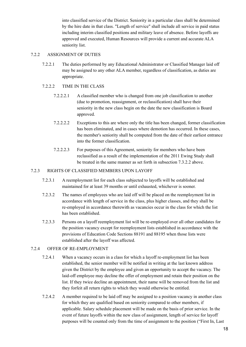into classified service of the District. Seniority in a particular class shall be determined by the hire date in that class. "Length of service" shall include all service in paid status including interim classified positions and military leave of absence. Before layoffs are approved and executed, Human Resources will provide a current and accurate ALA seniority list.

# 7.2.2 ASSIGNMENT OF DUTIES

- 7.2.2.1 The duties performed by any Educational Administrator or Classified Manager laid off may be assigned to any other ALA member, regardless of classification, as duties are appropriate.
- 7.2.2.2 TIME IN THE CLASS
	- 7.2.2.2.1 A classified member who is changed from one job classification to another (due to promotion, reassignment, or reclassification) shall have their seniority in the new class begin on the date the new classification is Board approved.
	- 7.2.2.2.2 Exceptions to this are where only the title has been changed, former classification has been eliminated, and in cases where demotion has occurred. In these cases, the member's seniority shall be computed from the date of their earliest entrance into the former classification.
	- 7.2.2.2.3 For purposes of this Agreement, seniority for members who have been reclassified as a result of the implementation of the 2011 Ewing Study shall be treated in the same manner as set forth in subsection 7.3.2.2 above.

# 7.2.3 RIGHTS OF CLASSIFIED MEMBERS UPON LAYOFF

- 7.2.3.1 A reemployment list for each class subjected to layoffs will be established and maintained for at least 39 months or until exhausted, whichever is sooner.
- 7.2.3.2 The names of employees who are laid off will be placed on the reemployment list in accordance with length of service in the class, plus higher classes, and they shall be re-employed in accordance therewith as vacancies occur in the class for which the list has been established.
- 7.2.3.3 Persons on a layoff reemployment list will be re-employed over all other candidates for the position vacancy except for reemployment lists established in accordance with the provisions of Education Code Sections 88191 and 88195 when those lists were established after the layoff was affected.

# 7.2.4 OFFER OF RE-EMPLOYMENT

- 7.2.4.1 When a vacancy occurs in a class for which a layoff re-employment list has been established, the senior member will be notified in writing at the last known address given the District by the employee and given an opportunity to accept the vacancy. The laid-off employee may decline the offer of employment and retain their position on the list. If they twice decline an appointment, their name will be removed from the list and they forfeit all return rights to which they would otherwise be entitled.
- 7.2.4.2 A member required to be laid off may be assigned to a position vacancy in another class for which they are qualified based on seniority compared to other members, if applicable. Salary schedule placement will be made on the basis of prior service. In the event of future layoffs within the new class of assignment, length of service for layoff purposes will be counted only from the time of assignment to the position ("First In, Last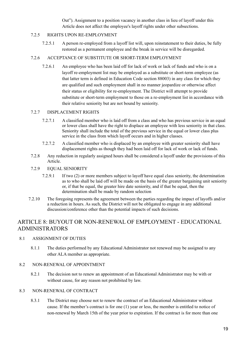Out"). Assignment to a position vacancy in another class in lieu of layoff under this Article does not affect the employee's layoff rights under other subsections.

# 7.2.5 RIGHTS UPON RE-EMPLOYMENT

7.2.5.1 A person re-employed from a layoff list will, upon reinstatement to their duties, be fully restored as a permanent employee and the break in service will be disregarded.

# 7.2.6 ACCEPTANCE OF SUBSTITUTE OR SHORT-TERM EMPLOYMENT

7.2.6.1 An employee who has been laid off for lack of work or lack of funds and who is on a layoff re-employment list may be employed as a substitute or short-term employee (as that latter term is defined in Education Code section 88003) in any class for which they are qualified and such employment shall in no manner jeopardize or otherwise affect their status or eligibility for re-employment. The District will attempt to provide substitute or short-term employment to those on a re-employment list in accordance with their relative seniority but are not bound by seniority.

# 7.2.7 DISPLACEMENT RIGHTS

- 7.2.7.1 A classified member who is laid off from a class and who has previous service in an equal or lower class shall have the right to displace an employee with less seniority in that class. Seniority shall include the total of the previous service in the equal or lower class plus service in the class from which layoff occurs and in higher classes.
- 7.2.7.2 A classified member who is displaced by an employee with greater seniority shall have displacement rights as though they had been laid off for lack of work or lack of funds.
- 7.2.8 Any reduction in regularly assigned hours shall be considered a layoff under the provisions of this Article.
- 7.2.9 EQUAL SENIORITY
	- 7.2.9.1 If two (2) or more members subject to layoff have equal class seniority, the determination as to who shall be laid off will be made on the basis of the greater bargaining unit seniority or, if that be equal, the greater hire date seniority, and if that be equal, then the determination shall be made by random selection
- 7.2.10 The foregoing represents the agreement between the parties regarding the impact of layoffs and/or a reduction in hours. As such, the District will not be obligated to engage in any additional discussion/conference other than the potential impacts of such decisions.

# ARTICLE 8: BUYOUT OR NON-RENEWAL OF EMPLOYMENT - EDUCATIONAL ADMINISTRATORS

# 8.1 ASSIGNMENT OF DUTIES

8.1.1 The duties performed by any Educational Administrator not renewed may be assigned to any other ALA member as appropriate.

# 8.2 NON-RENEWAL OF APPOINTMENT

8.2.1 The decision not to renew an appointment of an Educational Administrator may be with or without cause, for any reason not prohibited by law.

# 8.3 NON-RENEWAL OF CONTRACT

8.3.1 The District may choose not to renew the contract of an Educational Administrator without cause. If the member's contract is for one (1) year or less, the member is entitled to notice of non-renewal by March 15th of the year prior to expiration. If the contract is for more than one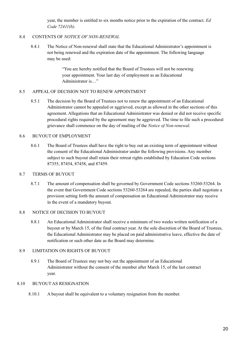year, the member is entitled to six months notice prior to the expiration of the contract. *Ed Code 72411(b)*.

# 8.4 CONTENTS OF *NOTICE OF NON-RENEWAL*

8.4.1 The Notice of Non-renewal shall state that the Educational Administrator's appointment is not being renewed and the expiration date of the appointment. The following language may be used:

> "You are hereby notified that the Board of Trustees will not be renewing your appointment. Your last day of employment as an Educational Administrator is…"

# 8.5 APPEAL OF DECISION NOT TO RENEW APPOINTMENT

8.5.1 The decision by the Board of Trustees not to renew the appointment of an Educational Administrator cannot be appealed or aggrieved, except as allowed in the other sections of this agreement. Allegations that an Educational Administrator was denied or did not receive specific procedural rights required by the agreement may be aggrieved. The time to file such a procedural grievance shall commence on the day of mailing of the *Notice of Non-renewal*.

# 8.6 BUYOUT OF EMPLOYMENT

8.6.1 The Board of Trustees shall have the right to buy out an existing term of appointment without the consent of the Educational Administrator under the following provisions. Any member subject to such buyout shall retain their retreat rights established by Education Code sections 87355, 87454, 87458, and 87459.

# 8.7 TERMS OF BUYOUT

8.7.1 The amount of compensation shall be governed by Government Code sections 53260-53264. In the event that Government Code sections 53260-53264 are repealed, the parties shall negotiate a provision setting forth the amount of compensation an Educational Administrator may receive in the event of a mandatory buyout.

# 8.8 NOTICE OF DECISION TO BUYOUT

8.8.1 An Educational Administrator shall receive a minimum of two weeks written notification of a buyout or by March 15, of the final contract year. At the sole discretion of the Board of Trustees, the Educational Administrator may be placed on paid administrative leave, effective the date of notification or such other date as the Board may determine.

# 8.9 LIMITATION ON RIGHTS OF BUYOUT

8.9.1 The Board of Trustees may not buy out the appointment of an Educational Administrator without the consent of the member after March 15, of the last contract year.

# 8.10 BUYOUT AS RESIGNATION

8.10.1 A buyout shall be equivalent to a voluntary resignation from the member.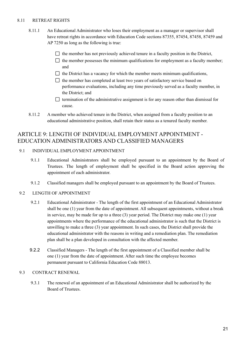# 8.11 RETREAT RIGHTS

- 8.11.1 An Educational Administrator who loses their employment as a manager or supervisor shall have retreat rights in accordance with Education Code sections 87355, 87454, 87458, 87459 and AP 7250 as long as the following is true:
	- $\Box$  the member has not previously achieved tenure in a faculty position in the District,
	- $\Box$  the member possesses the minimum qualifications for employment as a faculty member; and
	- $\Box$  the District has a vacancy for which the member meets minimum qualifications,
	- $\Box$  the member has completed at least two years of satisfactory service based on performance evaluations, including any time previously served as a faculty member, in the District; and
	- $\Box$  termination of the administrative assignment is for any reason other than dismissal for cause.
- 8.11.2 A member who achieved tenure in the District, when assigned from a faculty position to an educational administrative position, shall retain their status as a tenured faculty member.

# ARTICLE 9: LENGTH OF INDIVIDUAL EMPLOYMENT APPOINTMENT - EDUCATION ADMINISTRATORS AND CLASSIFIED MANAGERS

# 9.1 INDIVIDUAL EMPLOYMENT APPOINTMENT

- 9.1.1 Educational Administrators shall be employed pursuant to an appointment by the Board of Trustees. The length of employment shall be specified in the Board action approving the appointment of each administrator.
- 9.1.2 Classified managers shall be employed pursuant to an appointment by the Board of Trustees.

# 9.2 LENGTH OF APPOINTMENT

- 9.2.1 Educational Administrator The length of the first appointment of an Educational Administrator shall be one (1) year from the date of appointment. All subsequent appointments, without a break in service, may be made for up to a three (3) year period. The District may make one (1) year appointments where the performance of the educational administrator is such that the District is unwilling to make a three (3) year appointment. In such cases, the District shall provide the educational administrator with the reasons in writing and a remediation plan. The remediation plan shall be a plan developed in consultation with the affected member.
- 9.2.2 Classified Managers The length of the first appointment of a Classified member shall be one (1) year from the date of appointment. After such time the employee becomes permanent pursuant to California Education Code 88013.

# 9.3 CONTRACT RENEWAL

9.3.1 The renewal of an appointment of an Educational Administrator shall be authorized by the Board of Trustees.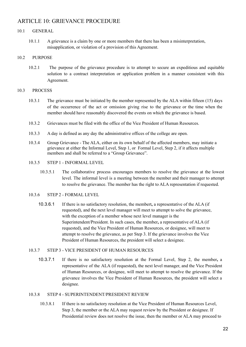# ARTICLE 10: GRIEVANCE PROCEDURE

# 10.1 GENERAL

10.1.1 A grievance is a claim by one or more members that there has been a misinterpretation, misapplication, or violation of a provision of this Agreement.

# 10.2 PURPOSE

10.2.1 The purpose of the grievance procedure is to attempt to secure an expeditious and equitable solution to a contract interpretation or application problem in a manner consistent with this Agreement.

# 10.3 PROCESS

- 10.3.1 The grievance must be initiated by the member represented by the ALA within fifteen (15) days of the occurrence of the act or omission giving rise to the grievance or the time when the member should have reasonably discovered the events on which the grievance is based.
- 10.3.2 Grievances must be filed with the office of the Vice President of Human Resources.
- 10.3.3 A day is defined as any day the administrative offices of the college are open.
- 10.3.4 Group Grievance The ALA, either on its own behalf of the affected members, may initiate a grievance at either the Informal Level, Step 1, or Formal Level, Step 2, if it affects multiple members and shall be referred to a "Group Grievance".
- 10.3.5 STEP 1 INFORMAL LEVEL
	- 10.3.5.1 The collaborative process encourages members to resolve the grievance at the lowest level. The informal level is a meeting between the member and their manager to attempt to resolve the grievance. The member has the right to ALA representation if requested.

# 10.3.6 STEP 2 - FORMAL LEVEL

10.3.6.1 If there is no satisfactory resolution, the membert**,** a representative of the ALA (if requested), and the next level manager will meet to attempt to solve the grievance, with the exception of a member whose next level manager is the Superintendent/President. In such cases, the member**,** a representative of ALA (if requested), and the Vice President of Human Resources, or designee, will meet to attempt to resolve the grievance, as per Step 3. If the grievance involves the Vice President of Human Resources, the president will select a designee.

# 10.3.7 STEP 3 - VICE PRESIDENT OF HUMAN RESOURCES

10.3.7.1 If there is no satisfactory resolution at the Formal Level, Step 2, the member**,** a representative of the ALA (if requested), the next level manager, and the Vice President of Human Resources, or designee, will meet to attempt to resolve the grievance. If the grievance involves the Vice President of Human Resources, the president will select a designee.

#### 10.3.8 STEP 4 - SUPERINTENDENT/PRESIDENT REVIEW

10.3.8.1 If there is no satisfactory resolution at the Vice President of Human Resources Level, Step 3, the member or the ALA may request review by the President or designee. If Presidential review does not resolve the issue, then the member or ALA may proceed to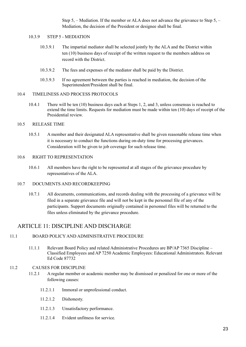Step 5, – Mediation. If the member or ALA does not advance the grievance to Step 5, – Mediation, the decision of the President or designee shall be final.

## 10.3.9 STEP 5 - MEDIATION

- 10.3.9.1 The impartial mediator shall be selected jointly by the ALA and the District within ten (10) business days of receipt of the written request to the members address on record with the District.
- 10.3.9.2 The fees and expenses of the mediator shall be paid by the District.
- 10.3.9.3 If no agreement between the parties is reached in mediation, the decision of the Superintendent/President shall be final.

# 10.4 TIMELINESS AND PROCESS PROTOCOLS

10.4.1 There will be ten (10) business days each at Steps 1, 2, and 3, unless consensus is reached to extend the time limits. Requests for mediation must be made within ten (10) days of receipt of the Presidential review.

# 10.5 RELEASE TIME

10.5.1 A member and their designated ALA representative shall be given reasonable release time when it is necessary to conduct the functions during on-duty time for processing grievances. Consideration will be given to job coverage for such release time.

#### 10.6 RIGHT TO REPRESENTATION

10.6.1 All members have the right to be represented at all stages of the grievance procedure by representatives of the ALA.

#### 10.7 DOCUMENTS AND RECORDKEEPING

10.7.1 All documents, communications, and records dealing with the processing of a grievance will be filed in a separate grievance file and will not be kept in the personnel file of any of the participants. Support documents originally contained in personnel files will be returned to the files unless eliminated by the grievance procedure.

# ARTICLE 11: DISCIPLINE AND DISCHARGE

# 11.1 BOARD POLICY AND ADMINISTRATIVE PROCEDURE

11.1.1 Relevant Board Policy and related Administrative Procedures are BP/AP 7365 Discipline – Classified Employees and AP 7250 Academic Employees: Educational Administrators. Relevant Ed Code 87732

#### 11.2 CAUSES FOR DISCIPLINE

- 11.2.1 A regular member or academic member may be dismissed or penalized for one or more of the following causes:
	- 11.2.1.1 Immoral or unprofessional conduct.
	- 11.2.1.2 Dishonesty.
	- 11.2.1.3 Unsatisfactory performance.
	- 11.2.1.4 Evident unfitness for service.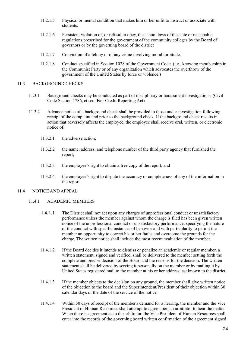- 11.2.1.5 Physical or mental condition that makes him or her unfit to instruct or associate with students.
- 11.2.1.6 Persistent violation of, or refusal to obey, the school laws of the state or reasonable regulations prescribed for the government of the community colleges by the Board of governors or by the governing board of the district
- 11.2.1.7 Conviction of a felony or of any crime involving moral turpitude.
- 11.2.1.8 Conduct specified in Section 1028 of the Government Code. (i.e., knowing membership in the Communist Party or of any organization which advocates the overthrow of the government of the United States by force or violence.)

## 11.3 BACKGROUND CHECKS

- 11.3.1 Background checks may be conducted as part of disciplinary or harassment investigations, (Civil Code Section 1786, et seq. Fair Credit Reporting Act)
- 11.3.2 Advance notice of a background check shall be provided to those under investigation following receipt of the complaint and prior to the background check. If the background check results in action that adversely affects the employee, the employee shall receive oral, written, or electronic notice of:
	- 11.3.2.1 the adverse action;
	- 11.3.2.2 the name, address, and telephone number of the third party agency that furnished the report;
	- 11.3.2.3 the employee's right to obtain a free copy of the report; and
	- 11.3.2.4 the employee's right to dispute the accuracy or completeness of any of the information in the report.

# 11.4 NOTICE AND APPEAL

#### 11.4.1 ACADEMIC MEMBERS

- 11.4.1.1 The District shall not act upon any charges of unprofessional conduct or unsatisfactory performance unless the member against whom the charge is filed has been given written notice of the unprofessional conduct or unsatisfactory performance, specifying the nature of the conduct with specific instances of behavior and with particularity to permit the member an opportunity to correct his or her faults and overcome the grounds for the charge. The written notice shall include the most recent evaluation of the member.
- 11.4.1.2 If the Board decides it intends to dismiss or penalize an academic or regular member, a written statement, signed and verified, shall be delivered to the member setting forth the complete and precise decision of the Board and the reasons for the decision. The written statement shall be delivered by serving it personally on the member or by mailing it by United States registered mail to the member at his or her address last known to the district.
- 11.4.1.3 If the member objects to the decision on any ground, the member shall give written notice of the objection to the board and the Superintendent/President of their objection within 30 calendar days of the date of the service of the notice.
- 11.4.1.4 Within 30 days of receipt of the member's demand for a hearing, the member and the Vice President of Human Resources shall attempt to agree upon an arbitrator to hear the matter. When there is agreement as to the arbitrator, the Vice President of Human Resources shall enter into the records of the governing board written confirmation of the agreement signed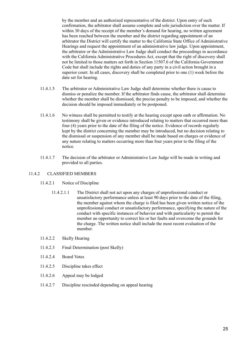by the member and an authorized representative of the district. Upon entry of such confirmation, the arbitrator shall assume complete and sole jurisdiction over the matter. If within 30 days of the receipt of the member's demand for hearing, no written agreement has been reached between the member and the district regarding appointment of an arbitrator the District will certify the matter to the California State Office of Administrative Hearings and request the appointment of an administrative law judge. Upon appointment, the arbitrator or the Administrative Law Judge shall conduct the proceedings in accordance with the California Administrative Procedures Act, except that the right of discovery shall not be limited to those matters set forth in Section 11507.6 of the California Government Code but shall include the rights and duties of any party in a civil action brought in a superior court. In all cases, discovery shall be completed prior to one (1) week before the date set for hearing.

- 11.4.1.5 The arbitrator or Administrative Law Judge shall determine whether there is cause to dismiss or penalize the member. If the arbitrator finds cause, the arbitrator shall determine whether the member shall be dismissed, the precise penalty to be imposed, and whether the decision should be imposed immediately or be postponed.
- 11.4.1.6 No witness shall be permitted to testify at the hearing except upon oath or affirmation. No testimony shall be given or evidence introduced relating to matters that occurred more than four (4) years prior to the date of the filing of the notice. Evidence of records regularly kept by the district concerning the member may be introduced, but no decision relating to the dismissal or suspension of any member shall be made based on charges or evidence of any nature relating to matters occurring more than four years prior to the filing of the notice.
- 11.4.1.7 The decision of the arbitrator or Administrative Law Judge will be made in writing and provided to all parties.

# 11.4.2 CLASSIFIED MEMBERS

- 11.4.2.1 Notice of Discipline
	- 11.4.2.1.1 The District shall not act upon any charges of unprofessional conduct or unsatisfactory performance unless at least 90 days prior to the date of the filing, the member against whom the charge is filed has been given written notice of the unprofessional conduct or unsatisfactory performance, specifying the nature of the conduct with specific instances of behavior and with particularity to permit the member an opportunity to correct his or her faults and overcome the grounds for the charge. The written notice shall include the most recent evaluation of the member.
- 11.4.2.2 Skelly Hearing
- 11.4.2.3 Final Determination (post Skelly)
- 11.4.2.4 Board Votes
- 11.4.2.5 Discipline takes effect
- 11.4.2.6 Appeal may be lodged
- 11.4.2.7 Discipline rescinded depending on appeal hearing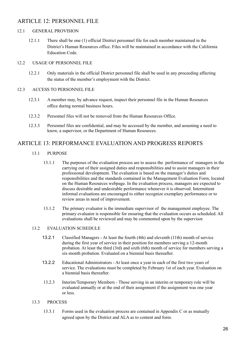# ARTICLE 12: PERSONNEL FILE

#### 12.1 GENERAL PROVISION

12.1.1 There shall be one (1) official District personnel file for each member maintained in the District's Human Resources office. Files will be maintained in accordance with the California Education Code.

#### 12.2 USAGE OF PERSONNEL FILE

12.2.1 Only materials in the official District personnel file shall be used in any proceeding affecting the status of the member's employment with the District.

#### 12.3 ACCESS TO PERSONNEL FILE

- 12.3.1 A member may, by advance request, inspect their personnel file in the Human Resources office during normal business hours.
- 12.3.2 Personnel files will not be removed from the Human Resources Office.
- 12.3.3 Personnel files are confidential, and may be accessed by the member, and assuming a need to know, a supervisor, or the Department of Human Resources.

# ARTICLE 13: PERFORMANCE EVALUATION AND PROGRESS REPORTS

- 13.1 PURPOSE
	- 13.1.1 The purposes of the evaluation process are to assess the performance of managers in the carrying out of their assigned duties and responsibilities and to assist managers in their professional development. The evaluation is based on the manager's duties and responsibilities and the standards contained in the Management Evaluation Form, located on the Human Resources webpage. In the evaluation process, managers are expected to discuss desirable and undesirable performance whenever it is observed. Intermittent informal evaluations are encouraged to either recognize exemplary performance or to review areas in need of improvement.
	- 13.1.2 The primary evaluator is the immediate supervisor of the management employee. The primary evaluator is responsible for ensuring that the evaluation occurs as scheduled. All evaluations shall be reviewed and may be commented upon by the supervisor.

# 13.2 EVALUATION SCHEDULE

- 13.2.1 Classified Managers At least the fourth (4th) and eleventh (11th) month of service during the first year of service in their position for members serving a 12-month probation. At least the third (3rd) and sixth (6th) month of service for members serving a six-month probation. Evaluated on a biennial basis thereafter.
- 13.2.2 Educational Administrators At least once a year in each of the first two years of service. The evaluations must be completed by February 1st of each year. Evaluation on a biennial basis thereafter.
- 13.2.3 Interim/Temporary Members Those serving in an interim or temporary role will be evaluated annually or at the end of their assignment if the assignment was one year or less.

# 13.3 PROCESS

13.3.1 Forms used in the evaluation process are contained in Appendix C or as mutually agreed upon by the District and ALA as to content and form.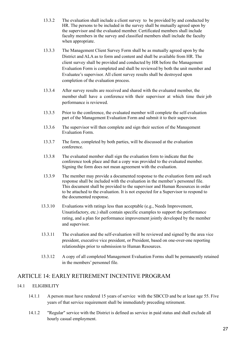- 13.3.2 The evaluation shall include a client survey to be provided by and conducted by HR. The persons to be included in the survey shall be mutually agreed upon by the supervisor and the evaluated member. Certificated members shall include faculty members in the survey and classified members shall include the faculty when appropriate.
- 13.3.3 The Management Client Survey Form shall be as mutually agreed upon by the District and ALA as to form and content and shall be available from HR. The client survey shall be provided and conducted by HR before the Management Evaluation Form is completed and shall be reviewed by both the unit member and Evaluatee's supervisor. All client survey results shall be destroyed upon completion of the evaluation process.
- 13.3.4 After survey results are received and shared with the evaluated member, the member shall have a conference with their supervisor at which time their job performance is reviewed.
- 13.3.5 Prior to the conference, the evaluated member will complete the self-evaluation part of the Management Evaluation Form and submit it to their supervisor.
- 13.3.6 The supervisor will then complete and sign their section of the Management Evaluation Form.
- 13.3.7 The form, completed by both parties, will be discussed at the evaluation conference.
- 13.3.8 The evaluated member shall sign the evaluation form to indicate that the conference took place and that a copy was provided to the evaluated member. Signing the form does not mean agreement with the evaluation.
- 13.3.9 The member may provide a documented response to the evaluation form and such response shall be included with the evaluation in the member's personnel file. This document shall be provided to the supervisor and Human Resources in order to be attached to the evaluation. It is not expected for a Supervisor to respond to the documented response.
- 13.3.10 Evaluations with ratings less than acceptable (e.g., Needs Improvement, Unsatisfactory, etc.) shall contain specific examples to support the performance rating, and a plan for performance improvement jointly developed by the member and supervisor.
- 13.3.11 The evaluation and the self-evaluation will be reviewed and signed by the area vice president, executive vice president, or President, based on one-over-one reporting relationships prior to submission to Human Resources.
- 13.3.12 A copy of all completed Management Evaluation Forms shall be permanently retained in the members' personnel file.

# ARTICLE 14: EARLY RETIREMENT INCENTIVE PROGRAM

# 14.1 ELIGIBILITY

- 14.1.1 A person must have rendered 15 years of service with the SBCCD and be at least age 55. Five years of that service requirement shall be immediately preceding retirement.
- 14.1.2 "Regular" service with the District is defined as service in paid status and shall exclude all hourly casual employment.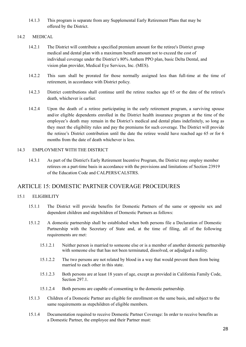14.1.3 This program is separate from any Supplemental Early Retirement Plans that may be offered by the District.

# 14.2 MEDICAL

- 14.2.1 The District will contribute a specified premium amount for the retiree's District group medical and dental plan with a maximum benefit amount not to exceed the cost of individual coverage under the District's 80% Anthem PPO plan, basic Delta Dental, and vision plan provider, Medical Eye Services, Inc. (MES).
- 14.2.2 This sum shall be prorated for those normally assigned less than full-time at the time of retirement, in accordance with District policy.
- 14.2.3 District contributions shall continue until the retiree reaches age 65 or the date of the retiree's death, whichever is earlier.
- 14.2.4 Upon the death of a retiree participating in the early retirement program, a surviving spouse and/or eligible dependents enrolled in the District health insurance program at the time of the employee's death may remain in the District's medical and dental plans indefinitely, so long as they meet the eligibility rules and pay the premiums for such coverage. The District will provide the retiree's District contribution until the date the retiree would have reached age 65 or for 6 months from the date of death whichever is less.

# 14.3 EMPLOYMENT WITH THE DISTRICT

14.3.1 As part of the District's Early Retirement Incentive Program, the District may employ member retirees on a part-time basis in accordance with the provisions and limitations of Section 23919 of the Education Code and CALPERS/CALSTRS.

# ARTICLE 15: DOMESTIC PARTNER COVERAGE PROCEDURES

# 15.1 ELIGIBILITY

- 15.1.1 The District will provide benefits for Domestic Partners of the same or opposite sex and dependent children and stepchildren of Domestic Partners as follows:
- 15.1.2 A domestic partnership shall be established when both persons file a Declaration of Domestic Partnership with the Secretary of State and, at the time of filing, all of the following requirements are met:
	- 15.1.2.1 Neither person is married to someone else or is a member of another domestic partnership with someone else that has not been terminated, dissolved, or adjudged a nullity.
	- 15.1.2.2 The two persons are not related by blood in a way that would prevent them from being married to each other in this state.
	- 15.1.2.3 Both persons are at least 18 years of age, except as provided in California Family Code, Section 297.1.
	- 15.1.2.4 Both persons are capable of consenting to the domestic partnership.
- 15.1.3 Children of a Domestic Partner are eligible for enrollment on the same basis, and subject to the same requirements as stepchildren of eligible members.
- 15.1.4 Documentation required to receive Domestic Partner Coverage: In order to receive benefits as a Domestic Partner, the employee and their Partner must: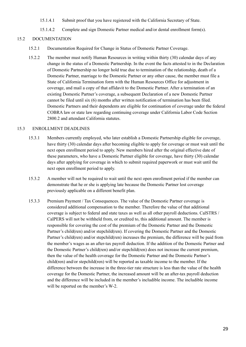- 15.1.4.1 Submit proof that you have registered with the California Secretary of State.
- 15.1.4.2 Complete and sign Domestic Partner medical and/or dental enrollment form(s).

# 15.2 DOCUMENTATION

- 15.2.1 Documentation Required for Change in Status of Domestic Partner Coverage.
- 15.2.2 The member must notify Human Resources in writing within thirty (30) calendar days of any change in the status of a Domestic Partnership. In the event the facts attested to in the Declaration of Domestic Partnership no longer hold true due to termination of the relationship, death of a Domestic Partner, marriage to the Domestic Partner or any other cause, the member must file a State of California Termination form with the Human Resources Office for adjustment in coverage, and mail a copy of that affidavit to the Domestic Partner. After a termination of an existing Domestic Partner's coverage, a subsequent Declaration of a new Domestic Partner cannot be filed until six (6) months after written notification of termination has been filed. Domestic Partners and their dependents are eligible for continuation of coverage under the federal COBRA law or state law regarding continuing coverage under California Labor Code Section 2800.2 and attendant California statutes.

# 15.3 ENROLLMENT DEADLINES

- 15.3.1 Members currently employed, who later establish a Domestic Partnership eligible for coverage, have thirty (30) calendar days after becoming eligible to apply for coverage or must wait until the next open enrollment period to apply. New members hired after the original effective date of these parameters, who have a Domestic Partner eligible for coverage, have thirty (30) calendar days after applying for coverage in which to submit required paperwork or must wait until the next open enrollment period to apply.
- 15.3.2 A member will not be required to wait until the next open enrollment period if the member can demonstrate that he or she is applying late because the Domestic Partner lost coverage previously applicable on a different benefit plan.
- 15.3.3 Premium Payment / Tax Consequences. The value of the Domestic Partner coverage is considered additional compensation to the member. Therefore the value of that additional coverage is subject to federal and state taxes as well as all other payroll deductions. CalSTRS / CalPERS will not be withheld from, or credited to, this additional amount. The member is responsible for covering the cost of the premium of the Domestic Partner and the Domestic Partner's child(ren) and/or stepchild(ren). If covering the Domestic Partner and the Domestic Partner's child(ren) and/or stepchild(ren) increases the premium, the difference will be paid from the member's wages as an after-tax payroll deduction. If the addition of the Domestic Partner and the Domestic Partner's child(ren) and/or stepchild(ren) does not increase the current premium, then the value of the health coverage for the Domestic Partner and the Domestic Partner's child(ren) and/or stepchild(ren) will be reported as taxable income to the member. If the difference between the increase in the three-tier rate structure is less than the value of the health coverage for the Domestic Partner, the increased amount will be an after-tax payroll deduction and the difference will be included in the member's includible income. The includible income will be reported on the member's W-2.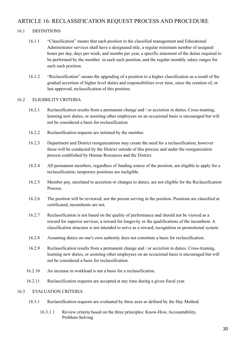# ARTICLE 16: RECLASSIFICATION REQUEST PROCESS AND PROCEDURE

# 16.1 DEFINITIONS

- 16.1.1 "Classification" means that each position in the classified management and Educational Administrator services shall have a designated title, a regular minimum number of assigned hours per day, days per week, and months per year, a specific statement of the duties required to be performed by the member in each such position, and the regular monthly salary ranges for each such position.
- 16.1.2 "Reclassification" means the upgrading of a position to a higher classification as a result of the gradual accretion of higher level duties and responsibilities over time, since the creation of, or last approved, reclassification of this position.

# 16.2 ELIGIBILITY CRITERIA

- 16.2.1 Reclassification results from a permanent change and / or accretion in duties. Cross-training, learning new duties, or assisting other employees on an occasional basis is encouraged but will not be considered a basis for reclassification.
- 16.2.2 Reclassification requests are initiated by the member.
- 16.2.3 Department and District reorganizations may create the need for a reclassification; however those will be conducted by the District outside of this process and under the reorganization process established by Human Resources and the District.
- 16.2.4 All permanent members, regardless of funding source of the position, are eligible to apply for a reclassification; temporary positions are ineligible.
- 16.2.5 Member pay, unrelated to accretion or changes to duties, are not eligible for the Reclassification **Process**
- 16.2.6 The position will be reviewed, not the person serving in the position. Positions are classified or certificated, incumbents are not.
- 16.2.7 Reclassification is not based on the quality of performance and should not be viewed as a reward for superior services, a reward for longevity or the qualifications of the incumbent. A classification structure is not intended to serve as a reward, recognition or promotional system.
- 16.2.8 Assuming duties on one's own authority does not constitute a basis for reclassification.
- 16.2.9 Reclassification results from a permanent change and / or accretion in duties. Cross-training, learning new duties, or assisting other employees on an occasional basis is encouraged but will not be considered a basis for reclassification.
- 16.2.10 An increase in workload is not a basis for a reclassification.
- 16.2.11 Reclassification requests are accepted at any time during a given fiscal year.

# 16.3 EVALUATION CRITERIA

- 16.3.1 Reclassification requests are evaluated by three axes as defined by the Hay Method.
	- 16.3.1.1 Review criteria based on the three principles: Know-How, Accountability, Problem-Solving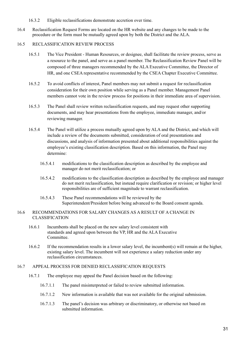- 16.3.2 Eligible reclassifications demonstrate accretion over time.
- 16.4 Reclassification Request Forms are located on the HR website and any changes to be made to the procedure or the form must be mutually agreed upon by both the District and the ALA.

# 16.5 RECLASSIFICATION REVIEW PROCESS

- 16.5.1 The Vice President Human Resources, or designee, shall facilitate the review process, serve as a resource to the panel, and serve as a panel member. The Reclassification Review Panel will be composed of three managers recommended by the ALA Executive Committee, the Director of HR, and one CSEA representative recommended by the CSEA Chapter Executive Committee.
- 16.5.2 To avoid conflicts of interest, Panel members may not submit a request for reclassification consideration for their own position while serving as a Panel member. Management Panel members cannot vote in the review process for positions in their immediate area of supervision.
- 16.5.3 The Panel shall review written reclassification requests, and may request other supporting documents, and may hear presentations from the employee, immediate manager, and/or reviewing manager.
- 16.5.4 The Panel will utilize a process mutually agreed upon by ALA and the District, and which will include a review of the documents submitted, consideration of oral presentations and discussions, and analysis of information presented about additional responsibilities against the employee's existing classification description. Based on this information, the Panel may determine:
	- 16.5.4.1 modifications to the classification description as described by the employee and manager do not merit reclassification; or
	- 16.5.4.2 modifications to the classification description as described by the employee and manager do not merit reclassification, but instead require clarification or revision; or higher level responsibilities are of sufficient magnitude to warrant reclassification.
	- 16.5.4.3 These Panel recommendations will be reviewed by the Superintendent/President before being advanced to the Board consent agenda.

## 16.6 RECOMMENDATIONS FOR SALARY CHANGES AS A RESULT OF A CHANGE IN CLASSIFICATION

- 16.6.1 Incumbents shall be placed on the new salary level consistent with standards and agreed upon between the VP, HR and the ALA Executive **Committee**
- 16.6.2 If the recommendation results in a lower salary level, the incumbent(s) will remain at the higher, existing salary level. The incumbent will not experience a salary reduction under any reclassification circumstances.

# 16.7 APPEAL PROCESS FOR DENIED RECLASSIFICATION REQUESTS

- 16.7.1 The employee may appeal the Panel decision based on the following:
	- 16.7.1.1 The panel misinterpreted or failed to review submitted information.
	- 16.7.1.2 New information is available that was not available for the original submission.
	- 16.7.1.3 The panel's decision was arbitrary or discriminatory, or otherwise not based on submitted information.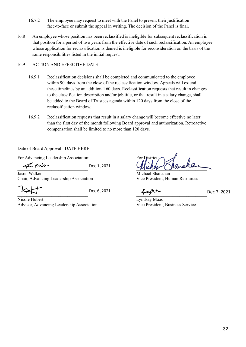- 16.7.2 The employee may request to meet with the Panel to present their justification face-to-face or submit the appeal in writing. The decision of the Panel is final.
- 16.8 An employee whose position has been reclassified is ineligible for subsequent reclassification in that position for a period of two years from the effective date of such reclassification. An employee whose application for reclassification is denied is ineligible for reconsideration on the basis of the same responsibilities listed in the initial request.

# 16.9 ACTION AND EFFECTIVE DATE

- 16.9.1 Reclassification decisions shall be completed and communicated to the employee within 90 days from the close of the reclassification window. Appeals will extend these timelines by an additional 60 days. Reclassification requests that result in changes to the classification description and/or job title, or that result in a salary change, shall be added to the Board of Trustees agenda within 120 days from the close of the reclassification window.
- 16.9.2 Reclassification requests that result in a salary change will become effective no later than the first day of the month following Board approval and authorization. Retroactive compensation shall be limited to no more than 120 days.

Date of Board Approval: DATE HERE

For Advancing Leadership Association: For District:

Dec 1, 2021

**Jason Walker** Michael Shanahan Chair, Advancing Leadership Association Vice President, Human Resources

 $\sim$ 

Nicole Hubert Lyndsay Maas Advisor, Advancing Leadership Association Vice President, Business Service

[\\_\\_\\_\\_\\_\\_\\_\\_\\_\\_\\_\\_\\_\\_\\_\\_\\_\\_\\_\\_\\_\\_\\_\\_\\_\\_\\_\\_\\_\\_\\_](https://adobecancelledaccountschannel.na2.documents.adobe.com/verifier?tx=CBJCHBCAABAAeuKugExv0pus5tvzlyUQLSNYtzeaNRqo) \_\_\_\_\_\_\_\_\_\_\_\_\_\_\_\_\_\_\_\_\_\_\_\_\_\_\_\_\_\_\_

 $Dec 6, 2021$   $\frac{2021}{20}$  Dec 7, 2021